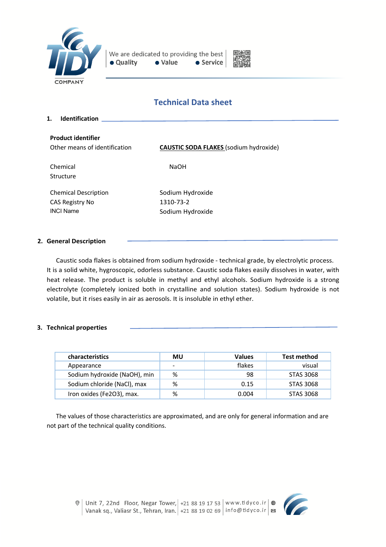



# **Technical Data sheet**

**1. Identification Product identifier** Other means of identification **CAUSTIC SODA FLAKES** (sodium hydroxide) Chemical Structure NaOH Chemical Description CAS Registry No INCI Name Sodium Hydroxide 1310-73-2 Sodium Hydroxide

### **2. General Description**

Caustic soda flakes is obtained from sodium hydroxide - technical grade, by electrolytic process. It is a solid white, hygroscopic, odorless substance. Caustic soda flakes easily dissolves in water, with heat release. The product is soluble in methyl and ethyl alcohols. Sodium hydroxide is a strong electrolyte (completely ionized both in crystalline and solution states). Sodium hydroxide is not volatile, but it rises easily in air as aerosols. It is insoluble in ethyl ether.

### **3. Technical properties**

| <b>characteristics</b>       | MU | <b>Values</b> | <b>Test method</b> |
|------------------------------|----|---------------|--------------------|
| Appearance                   | -  | flakes        | visual             |
| Sodium hydroxide (NaOH), min | %  | 98            | <b>STAS 3068</b>   |
| Sodium chloride (NaCl), max  | %  | 0.15          | <b>STAS 3068</b>   |
| Iron oxides (Fe2O3), max.    | %  | 0.004         | <b>STAS 3068</b>   |

The values of those characteristics are approximated, and are only for general information and are not part of the technical quality conditions.